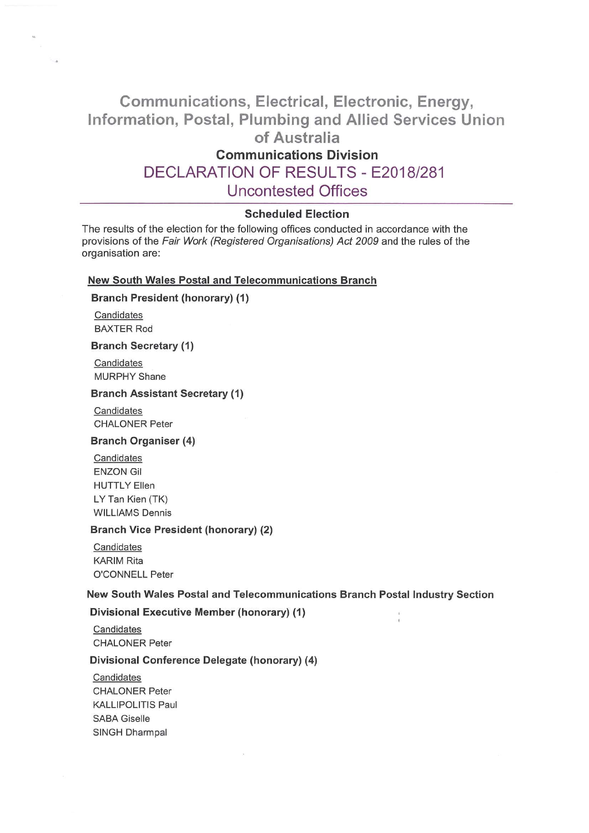# Communications, Electrical, Electronic, Energy, Information, Postal, Plumbing and Allied Services Union of Australia

# Communications Division

# DECLARATION OF RESULTS - E2018/281

# Uncontested Offices

# Scheduled Election

The results of the election for the following offices conducted in accordance with the provisions of the Fair Work (Registered Organisations) Act 2009 and the rules of the organisation are:

### New South Wales Postal and Telecommunications Branch

### Branch President (honorary) (1)

**Candidates** BAXTER Rod

# **Branch Secretary (1)**

**Candidates MURPHY Shane** 

#### Branch Assistant Secretary (1)

Candidates CHALONER Peter

### Branch Organiser(4)

Candidates ENZON GII HUTTLY Ellen LY Tan Kien (TK) WILLIAMS Dennis

#### Branch Vice President (honorary) (2)

Candidates **KARIM Rita** O'CONNELL Peter

### New South Wales Postal and Telecommunications Branch Postal Industry Section

### Divisional Executive Member (honorary) (1)

Candidates CHALONER Peter

#### Divisional Conference Delegate (honorary)(4)

Candidates CHALONER Peter KALLIPOLITIS Paul SABA Giselle SINGH Dharmpal